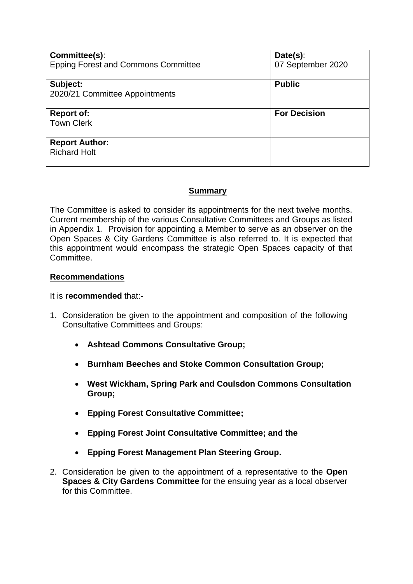| Committee(s):                              | Date(s):            |
|--------------------------------------------|---------------------|
| <b>Epping Forest and Commons Committee</b> | 07 September 2020   |
|                                            |                     |
| Subject:                                   | <b>Public</b>       |
| 2020/21 Committee Appointments             |                     |
|                                            |                     |
| <b>Report of:</b>                          | <b>For Decision</b> |
| <b>Town Clerk</b>                          |                     |
|                                            |                     |
| <b>Report Author:</b>                      |                     |
| <b>Richard Holt</b>                        |                     |
|                                            |                     |

## **Summary**

The Committee is asked to consider its appointments for the next twelve months. Current membership of the various Consultative Committees and Groups as listed in Appendix 1. Provision for appointing a Member to serve as an observer on the Open Spaces & City Gardens Committee is also referred to. It is expected that this appointment would encompass the strategic Open Spaces capacity of that Committee.

### **Recommendations**

#### It is **recommended** that:-

- 1. Consideration be given to the appointment and composition of the following Consultative Committees and Groups:
	- **Ashtead Commons Consultative Group;**
	- **Burnham Beeches and Stoke Common Consultation Group;**
	- **West Wickham, Spring Park and Coulsdon Commons Consultation Group;**
	- **Epping Forest Consultative Committee;**
	- **Epping Forest Joint Consultative Committee; and the**
	- **Epping Forest Management Plan Steering Group.**
- 2. Consideration be given to the appointment of a representative to the **Open Spaces & City Gardens Committee** for the ensuing year as a local observer for this Committee.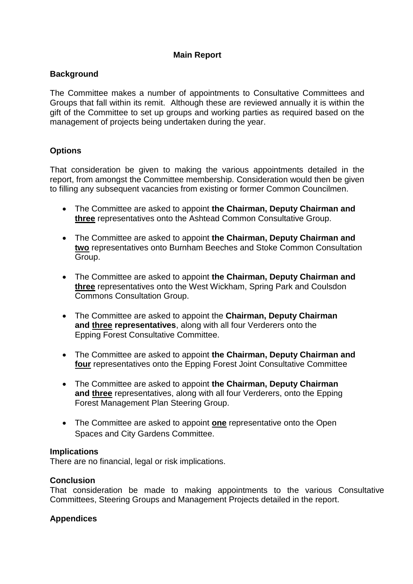## **Main Report**

### **Background**

The Committee makes a number of appointments to Consultative Committees and Groups that fall within its remit. Although these are reviewed annually it is within the gift of the Committee to set up groups and working parties as required based on the management of projects being undertaken during the year.

# **Options**

That consideration be given to making the various appointments detailed in the report, from amongst the Committee membership. Consideration would then be given to filling any subsequent vacancies from existing or former Common Councilmen.

- The Committee are asked to appoint **the Chairman, Deputy Chairman and three** representatives onto the Ashtead Common Consultative Group.
- The Committee are asked to appoint **the Chairman, Deputy Chairman and two** representatives onto Burnham Beeches and Stoke Common Consultation Group.
- The Committee are asked to appoint **the Chairman, Deputy Chairman and three** representatives onto the West Wickham, Spring Park and Coulsdon Commons Consultation Group.
- The Committee are asked to appoint the **Chairman, Deputy Chairman and three representatives**, along with all four Verderers onto the Epping Forest Consultative Committee.
- The Committee are asked to appoint **the Chairman, Deputy Chairman and four** representatives onto the Epping Forest Joint Consultative Committee
- The Committee are asked to appoint **the Chairman, Deputy Chairman and three** representatives, along with all four Verderers, onto the Epping Forest Management Plan Steering Group.
- The Committee are asked to appoint **one** representative onto the Open Spaces and City Gardens Committee.

#### **Implications**

There are no financial, legal or risk implications.

#### **Conclusion**

That consideration be made to making appointments to the various Consultative Committees, Steering Groups and Management Projects detailed in the report.

### **Appendices**